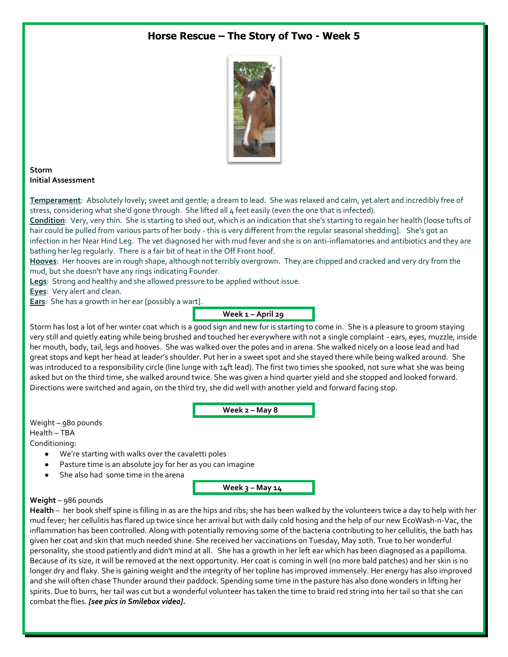## **Horse Rescue – The Story of Two - Week 5**



**Storm Initial Assessment**

**Temperament**: Absolutely lovely; sweet and gentle; a dream to lead. She was relaxed and calm, yet alert and incredibly free of stress, considering what she'd gone through. She lifted all 4 feet easily (even the one that is infected).

**Condition**: Very, very thin. She is starting to shed out, which is an indication that she's starting to regain her health [loose tufts of hair could be pulled from various parts of her body - this is very different from the regular seasonal shedding]. She's got an infection in her Near Hind Leg. The vet diagnosed her with mud fever and she is on anti-inflamatories and antibiotics and they are bathing her leg regularly. There is a fair bit of heat in the Off Front hoof.

**Hooves**: Her hooves are in rough shape, although not terribly overgrown. They are chipped and cracked and very dry from the mud, but she doesn't have any rings indicating Founder.

**Legs**: Strong and healthy and she allowed pressure to be applied without issue.

**Eyes**: Very alert and clean.

**Ears**: She has a growth in her ear [possibly a wart].

# **Week 1 – April 29**

Storm has lost a lot of her winter coat which is a good sign and new fur is starting to come in. She is a pleasure to groom staying very still and quietly eating while being brushed and touched her everywhere with not a single complaint - ears, eyes, muzzle, inside her mouth, body, tail, legs and hooves. She was walked over the poles and in arena. She walked nicely on a loose lead and had great stops and kept her head at leader's shoulder. Put her in a sweet spot and she stayed there while being walked around. She was introduced to a responsibility circle (line lunge with 14ft lead). The first two times she spooked, not sure what she was being asked but on the third time, she walked around twice. She was given a hind quarter yield and she stopped and looked forward. Directions were switched and again, on the third try, she did well with another yield and forward facing stop.

**Week 2 – May 8**

Weight – 980 pounds Health – TBA Conditioning:

- $\bullet$ We're starting with walks over the cavaletti poles
- Pasture time is an absolute joy for her as you can imagine
- She also had some time in the arena

**Week 3 – May 14**

### **Weight** – 986 pounds

**Health** – her book shelf spine is filling in as are the hips and ribs; she has been walked by the volunteers twice a day to help with her mud fever; her cellulitis has flared up twice since her arrival but with daily cold hosing and the help of our new EcoWash-n-Vac, the inflammation has been controlled. Along with potentially removing some of the bacteria contributing to her cellulitis, the bath has given her coat and skin that much needed shine. She received her vaccinations on Tuesday, May 10th. True to her wonderful personality, she stood patiently and didn't mind at all. She has a growth in her left ear which has been diagnosed as a papilloma. Because of its size, it will be removed at the next opportunity. Her coat is coming in well (no more bald patches) and her skin is no longer dry and flaky. She is gaining weight and the integrity of her topline has improved immensely. Her energy has also improved and she will often chase Thunder around their paddock. Spending some time in the pasture has also done wonders in lifting her spirits. Due to burrs, her tail was cut but a wonderful volunteer has taken the time to braid red string into her tail so that she can combat the flies. *[see pics in Smilebox video].*